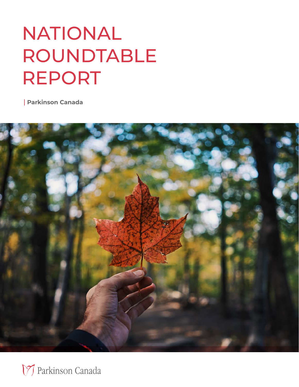# NATIONAL ROUNDTABLE REPORT

**Parkinson Canada**



17 Parkinson Canada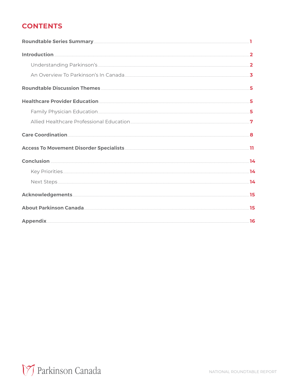#### **CONTENTS**

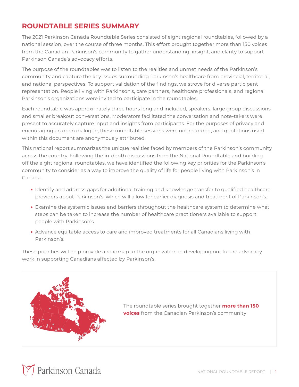#### **ROUNDTABLE SERIES SUMMARY**

The 2021 Parkinson Canada Roundtable Series consisted of eight regional roundtables, followed by a national session, over the course of three months. This effort brought together more than 150 voices from the Canadian Parkinson's community to gather understanding, insight, and clarity to support Parkinson Canada's advocacy efforts.

The purpose of the roundtables was to listen to the realities and unmet needs of the Parkinson's community and capture the key issues surrounding Parkinson's healthcare from provincial, territorial, and national perspectives. To support validation of the findings, we strove for diverse participant representation. People living with Parkinson's, care partners, healthcare professionals, and regional Parkinson's organizations were invited to participate in the roundtables.

Each roundtable was approximately three hours long and included, speakers, large group discussions and smaller breakout conversations. Moderators facilitated the conversation and note-takers were present to accurately capture input and insights from participants. For the purposes of privacy and encouraging an open dialogue, these roundtable sessions were not recorded, and quotations used within this document are anonymously attributed.

This national report summarizes the unique realities faced by members of the Parkinson's community across the country. Following the in-depth discussions from the National Roundtable and building off the eight regional roundtables, we have identified the following key priorities for the Parkinson's community to consider as a way to improve the quality of life for people living with Parkinson's in Canada.

- **•** Identify and address gaps for additional training and knowledge transfer to qualified healthcare providers about Parkinson's, which will allow for earlier diagnosis and treatment of Parkinson's.
- **•** Examine the systemic issues and barriers throughout the healthcare system to determine what steps can be taken to increase the number of healthcare practitioners available to support people with Parkinson's.
- **•** Advance equitable access to care and improved treatments for all Canadians living with Parkinson's.

These priorities will help provide a roadmap to the organization in developing our future advocacy work in supporting Canadians affected by Parkinson's.



The roundtable series brought together **more than 150 voices** from the Canadian Parkinson's community

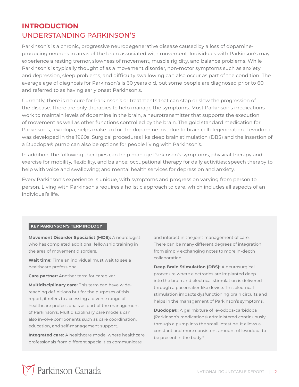#### **INTRODUCTION** UNDERSTANDING PARKINSON'S

Parkinson's is a chronic, progressive neurodegenerative disease caused by a loss of dopamineproducing neurons in areas of the brain associated with movement. Individuals with Parkinson's may experience a resting tremor, slowness of movement, muscle rigidity, and balance problems. While Parkinson's is typically thought of as a movement disorder, non-motor symptoms such as anxiety and depression, sleep problems, and difficulty swallowing can also occur as part of the condition. The average age of diagnosis for Parkinson's is 60 years old, but some people are diagnosed prior to 60 and referred to as having early onset Parkinson's.

Currently, there is no cure for Parkinson's or treatments that can stop or slow the progression of the disease. There are only therapies to help manage the symptoms. Most Parkinson's medications work to maintain levels of dopamine in the brain, a neurotransmitter that supports the execution of movement as well as other functions controlled by the brain. The gold standard medication for Parkinson's, levodopa, helps make up for the dopamine lost due to brain cell degeneration. Levodopa was developed in the 1960s. Surgical procedures like deep brain stimulation (DBS) and the insertion of a Duodopa® pump can also be options for people living with Parkinson's.

In addition, the following therapies can help manage Parkinson's symptoms, physical therapy and exercise for mobility, flexibility, and balance; occupational therapy for daily activities; speech therapy to help with voice and swallowing; and mental health services for depression and anxiety.

Every Parkinson's experience is unique, with symptoms and progression varying from person to person. Living with Parkinson's requires a holistic approach to care, which includes all aspects of an individual's life.

#### **KEY PARKINSON'S TERMINOLOGY**

**Movement Disorder Specialist (MDS):** A neurologist who has completed additional fellowship training in the area of movement disorders.

**Wait time:** Time an individual must wait to see a healthcare professional.

**Care partner:** Another term for caregiver.

**Multidisciplinary care:** This term can have widereaching definitions but for the purposes of this report, it refers to accessing a diverse range of healthcare professionals as part of the management of Parkinson's. Multidisciplinary care models can also involve components such as care coordination, education, and self-management support.

**Integrated care:** A healthcare model where healthcare professionals from different specialities communicate

and interact in the joint management of care. There can be many different degrees of integration from simply exchanging notes to more in-depth collaboration.

**Deep Brain Stimulation (DBS):** A neurosurgical procedure where electrodes are implanted deep into the brain and electrical stimulation is delivered through a pacemaker-like device. This electrical stimulation impacts dysfunctioning brain circuits and helps in the management of Parkinson's symptoms.<sup>i</sup>

**Duodopa®:** A gel mixture of levodopa-carbidopa (Parkinson's medications) administered continuously through a pump into the small intestine. It allows a constant and more consistent amount of levodopa to be present in the body.<sup>ii</sup>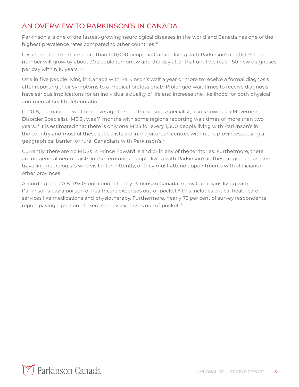#### AN OVERVIEW TO PARKINSON'S IN CANADA

Parkinson's is one of the fastest-growing neurological diseases in the world and Canada has one of the highest prevalence rates compared to other countries.<sup>iii</sup>

It is estimated there are more than 100,000 people in Canada living with Parkinson's in 2021.iv, That number will grow by about 30 people tomorrow and the day after that until we reach 50 new diagnoses per day within 10 years.<sup>iv, v</sup>

One in five people living in Canada with Parkinson's wait a year or more to receive a formal diagnosis after reporting their symptoms to a medical professional.<sup>vi</sup> Prolonged wait times to receive diagnosis have serious implications for an individual's quality of life and increase the likelihood for both physical and mental health deterioration.

In 2018, the national wait time average to see a Parkinson's specialist, also known as a Movement Disorder Specialist (MDS), was 11 months with some regions reporting wait times of more than two years.<sup>vii</sup> It is estimated that there is only one MDS for every 1,500 people living with Parkinson's in the country and most of these specialists are in major urban centres within the provinces, posing a geographical barrier for rural Canadians with Parkinson's.<sup>viii</sup>

Currently, there are no MDSs in Prince Edward Island or in any of the territories. Furthermore, there are no general neurologists in the territories. People living with Parkinson's in these regions must see travelling neurologists who visit intermittently, or they must attend appointments with clinicians in other provinces.

According to a 2018 IPSOS poll conducted by Parkinson Canada, many Canadians living with Parkinson's pay a portion of healthcare expenses out-of-pocket.<sup>vi</sup> This includes critical healthcare services like medications and physiotherapy. Furthermore, nearly 75 per cent of survey respondents report paying a portion of exercise class expenses out-of-pocket.<sup>vi</sup>

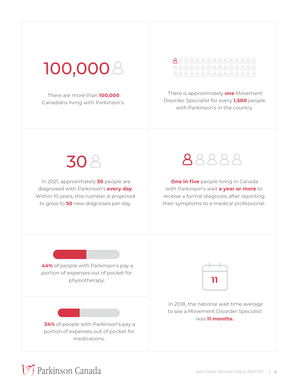## 100,000

There are more than **100,000** Canadians living with Parkinson's.

## 888888888888888

 There is approximately **one** Movement Disorder Specialist for every **1,500** people with Parkinson's in the country.

**30 A** 

 In 2021, approximately **30** people are diagnosed with Parkinson's **every day**. Within 10 years, this number is projected to grow to **50** new diagnoses per day.



**One in five** people living in Canada with Parkinson's wait **a year or more** to receive a formal diagnosis after reporting their symptoms to a medical professional.

**44%** of people with Parkinson's pay a portion of expenses out of pocket for physiotherapy.

**34%** of people with Parkinson's pay a portion of expenses out of pocket for medications.



 In 2018, the national wait time average to see a Movement Disorder Specialist was **11 months.**

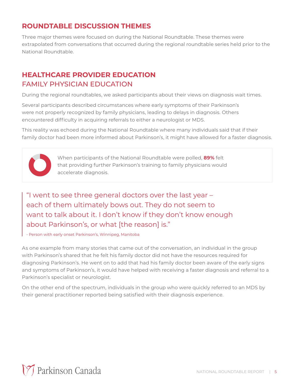#### **ROUNDTABLE DISCUSSION THEMES**

Three major themes were focused on during the National Roundtable. These themes were extrapolated from conversations that occurred during the regional roundtable series held prior to the National Roundtable.

#### **HEALTHCARE PROVIDER EDUCATION** FAMILY PHYSICIAN EDUCATION

During the regional roundtables, we asked participants about their views on diagnosis wait times.

Several participants described circumstances where early symptoms of their Parkinson's were not properly recognized by family physicians, leading to delays in diagnosis. Others encountered difficulty in acquiring referrals to either a neurologist or MDS.

This reality was echoed during the National Roundtable where many individuals said that if their family doctor had been more informed about Parkinson's, it might have allowed for a faster diagnosis.



When participants of the National Roundtable were polled, **89%** felt that providing further Parkinson's training to family physicians would accelerate diagnosis.

"I went to see three general doctors over the last year – each of them ultimately bows out. They do not seem to want to talk about it. I don't know if they don't know enough about Parkinson's, or what [the reason] is."

- Person with early onset Parkinson's, Winnipeg, Manitoba

As one example from many stories that came out of the conversation, an individual in the group with Parkinson's shared that he felt his family doctor did not have the resources required for diagnosing Parkinson's. He went on to add that had his family doctor been aware of the early signs and symptoms of Parkinson's, it would have helped with receiving a faster diagnosis and referral to a Parkinson's specialist or neurologist.

On the other end of the spectrum, individuals in the group who were quickly referred to an MDS by their general practitioner reported being satisfied with their diagnosis experience.

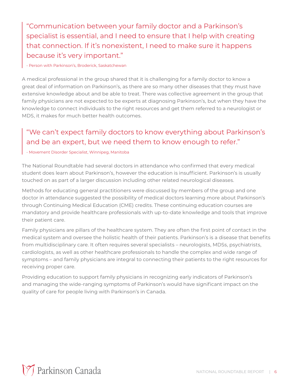"Communication between your family doctor and a Parkinson's specialist is essential, and I need to ensure that I help with creating that connection. If it's nonexistent, I need to make sure it happens because it's very important."

- Person with Parkinson's, Broderick, Saskatchewan

A medical professional in the group shared that it is challenging for a family doctor to know a great deal of information on Parkinson's, as there are so many other diseases that they must have extensive knowledge about and be able to treat. There was collective agreement in the group that family physicians are not expected to be experts at diagnosing Parkinson's, but when they have the knowledge to connect individuals to the right resources and get them referred to a neurologist or MDS, it makes for much better health outcomes.

#### "We can't expect family doctors to know everything about Parkinson's and be an expert, but we need them to know enough to refer."

#### - Movement Disorder Specialist, Winnipeg, Manitoba

The National Roundtable had several doctors in attendance who confirmed that every medical student does learn about Parkinson's, however the education is insufficient. Parkinson's is usually touched on as part of a larger discussion including other related neurological diseases.

Methods for educating general practitioners were discussed by members of the group and one doctor in attendance suggested the possibility of medical doctors learning more about Parkinson's through Continuing Medical Education (CME) credits. These continuing education courses are mandatory and provide healthcare professionals with up-to-date knowledge and tools that improve their patient care.

Family physicians are pillars of the healthcare system. They are often the first point of contact in the medical system and oversee the holistic health of their patients. Parkinson's is a disease that benefits from multidisciplinary care. It often requires several specialists – neurologists, MDSs, psychiatrists, cardiologists, as well as other healthcare professionals to handle the complex and wide range of symptoms – and family physicians are integral to connecting their patients to the right resources for receiving proper care.

Providing education to support family physicians in recognizing early indicators of Parkinson's and managing the wide-ranging symptoms of Parkinson's would have significant impact on the quality of care for people living with Parkinson's in Canada.

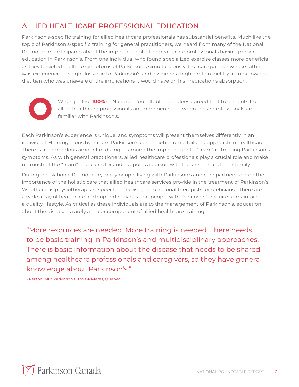#### ALLIED HEALTHCARE PROFESSIONAL EDUCATION

Parkinson's-specific training for allied healthcare professionals has substantial benefits. Much like the topic of Parkinson's-specific training for general practitioners, we heard from many of the National Roundtable participants about the importance of allied healthcare professionals having proper education in Parkinson's. From one individual who found specialized exercise classes more beneficial, as they targeted multiple symptoms of Parkinson's simultaneously, to a care partner whose father was experiencing weight loss due to Parkinson's and assigned a high-protein diet by an unknowing dietitian who was unaware of the implications it would have on his medication's absorption.



When polled, **100%** of National Roundtable attendees agreed that treatments from allied healthcare professionals are more beneficial when those professionals are familiar with Parkinson's.

Each Parkinson's experience is unique, and symptoms will present themselves differently in an individual. Heterogenous by nature, Parkinson's can benefit from a tailored approach in healthcare. There is a tremendous amount of dialogue around the importance of a "team" in treating Parkinson's symptoms. As with general practitioners, allied healthcare professionals play a crucial role and make up much of the "team" that cares for and supports a person with Parkinson's and their family.

During the National Roundtable, many people living with Parkinson's and care partners shared the importance of the holistic care that allied healthcare services provide in the treatment of Parkinson's. Whether it is physiotherapists, speech therapists, occupational therapists, or dieticians – there are a wide array of healthcare and support services that people with Parkinson's require to maintain a quality lifestyle. As critical as these individuals are to the management of Parkinson's, education about the disease is rarely a major component of allied healthcare training.

"More resources are needed. More training is needed. There needs to be basic training in Parkinson's and multidisciplinary approaches. There is basic information about the disease that needs to be shared among healthcare professionals and caregivers, so they have general knowledge about Parkinson's."

- Person with Parkinson's, Trois-Rivières, Quebec

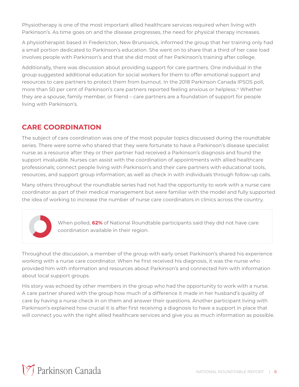Physiotherapy is one of the most important allied healthcare services required when living with Parkinson's. As time goes on and the disease progresses, the need for physical therapy increases.

A physiotherapist based in Fredericton, New Brunswick, informed the group that her training only had a small portion dedicated to Parkinson's education. She went on to share that a third of her case load involves people with Parkinson's and that she did most of her Parkinson's training after college.

Additionally, there was discussion about providing support for care partners. One individual in the group suggested additional education for social workers for them to offer emotional support and resources to care partners to protect them from burnout. In the 2018 Parkinson Canada IPSOS poll, more than 50 per cent of Parkinson's care partners reported feeling anxious or helpless.<sup>vi</sup> Whether they are a spouse, family member, or friend – care partners are a foundation of support for people living with Parkinson's.

#### **CARE COORDINATION**

The subject of care coordination was one of the most popular topics discussed during the roundtable series. There were some who shared that they were fortunate to have a Parkinson's disease specialist nurse as a resource after they or their partner had received a Parkinson's diagnosis and found the support invaluable. Nurses can assist with the coordination of appointments with allied healthcare professionals; connect people living with Parkinson's and their care partners with educational tools, resources, and support group information; as well as check in with individuals through follow-up calls.

Many others throughout the roundtable series had not had the opportunity to work with a nurse care coordinator as part of their medical management but were familiar with the model and fully supported the idea of working to increase the number of nurse care coordinators in clinics across the country.

> When polled, **62%** of National Roundtable participants said they did not have care coordination available in their region.

Throughout the discussion, a member of the group with early onset Parkinson's shared his experience working with a nurse care coordinator. When he first received his diagnosis, it was the nurse who provided him with information and resources about Parkinson's and connected him with information about local support groups.

His story was echoed by other members in the group who had the opportunity to work with a nurse. A care partner shared with the group how much of a difference it made in her husband's quality of care by having a nurse check in on them and answer their questions. Another participant living with Parkinson's explained how crucial it is after first receiving a diagnosis to have a support in place that will connect you with the right allied healthcare services and give you as much information as possible.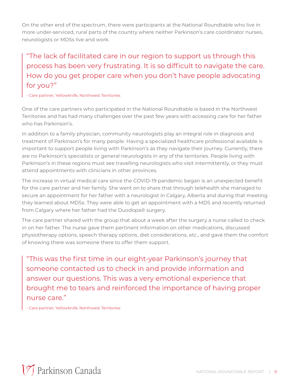On the other end of the spectrum, there were participants at the National Roundtable who live in more under-serviced, rural parts of the country where neither Parkinson's care coordinator nurses, neurologists or MDSs live and work.

### "The lack of facilitated care in our region to support us through this process has been very frustrating. It is so difficult to navigate the care. How do you get proper care when you don't have people advocating for you?"

- Care partner, Yellowknife, Northwest Territories

One of the care partners who participated in the National Roundtable is based in the Northwest Territories and has had many challenges over the past few years with accessing care for her father who has Parkinson's.

In addition to a family physician, community neurologists play an integral role in diagnosis and treatment of Parkinson's for many people. Having a specialized healthcare professional available is important to support people living with Parkinson's as they navigate their journey. Currently, there are no Parkinson's specialists or general neurologists in any of the territories. People living with Parkinson's in these regions must see travelling neurologists who visit intermittently, or they must attend appointments with clinicians in other provinces.

The increase in virtual medical care since the COVID-19 pandemic began is an unexpected benefit for the care partner and her family. She went on to share that through telehealth she managed to secure an appointment for her father with a neurologist in Calgary, Alberta and during that meeting they learned about MDSs. They were able to get an appointment with a MDS and recently returned from Calgary where her father had the Duodopa® surgery.

The care partner shared with the group that about a week after the surgery a nurse called to check in on her father. The nurse gave them pertinent information on other medications, discussed physiotherapy options, speech therapy options, diet considerations, etc., and gave them the comfort of knowing there was someone there to offer them support.

"This was the first time in our eight-year Parkinson's journey that someone contacted us to check in and provide information and answer our questions. This was a very emotional experience that brought me to tears and reinforced the importance of having proper nurse care."

- Care partner, Yellowknife, Northwest Territories

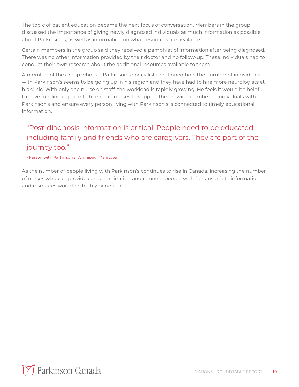The topic of patient education became the next focus of conversation. Members in the group discussed the importance of giving newly diagnosed individuals as much information as possible about Parkinson's, as well as information on what resources are available.

Certain members in the group said they received a pamphlet of information after being diagnosed. There was no other information provided by their doctor and no follow-up. These individuals had to conduct their own research about the additional resources available to them.

A member of the group who is a Parkinson's specialist mentioned how the number of individuals with Parkinson's seems to be going up in his region and they have had to hire more neurologists at his clinic. With only one nurse on staff, the workload is rapidly growing. He feels it would be helpful to have funding in place to hire more nurses to support the growing number of individuals with Parkinson's and ensure every person living with Parkinson's is connected to timely educational information.

### "Post-diagnosis information is critical. People need to be educated, including family and friends who are caregivers. They are part of the journey too."

- Person with Parkinson's, Winnipeg, Manitoba

As the number of people living with Parkinson's continues to rise in Canada, increasing the number of nurses who can provide care coordination and connect people with Parkinson's to information and resources would be highly beneficial.

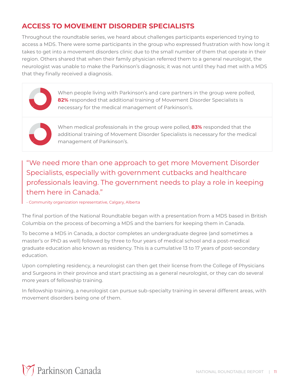#### **ACCESS TO MOVEMENT DISORDER SPECIALISTS**

Throughout the roundtable series, we heard about challenges participants experienced trying to access a MDS. There were some participants in the group who expressed frustration with how long it takes to get into a movement disorders clinic due to the small number of them that operate in their region. Others shared that when their family physician referred them to a general neurologist, the neurologist was unable to make the Parkinson's diagnosis; it was not until they had met with a MDS that they finally received a diagnosis.

When people living with Parkinson's and care partners in the group were polled, **82%** responded that additional training of Movement Disorder Specialists is necessary for the medical management of Parkinson's.



When medical professionals in the group were polled, **83%** responded that the additional training of Movement Disorder Specialists is necessary for the medical management of Parkinson's.

"We need more than one approach to get more Movement Disorder Specialists, especially with government cutbacks and healthcare professionals leaving. The government needs to play a role in keeping them here in Canada."

- Community organization representative, Calgary, Alberta

The final portion of the National Roundtable began with a presentation from a MDS based in British Columbia on the process of becoming a MDS and the barriers for keeping them in Canada.

To become a MDS in Canada, a doctor completes an undergraduate degree (and sometimes a master's or PhD as well) followed by three to four years of medical school and a post-medical graduate education also known as residency. This is a cumulative 13 to 17 years of post-secondary education.

Upon completing residency, a neurologist can then get their license from the College of Physicians and Surgeons in their province and start practising as a general neurologist, or they can do several more years of fellowship training.

In fellowship training, a neurologist can pursue sub-specialty training in several different areas, with movement disorders being one of them.

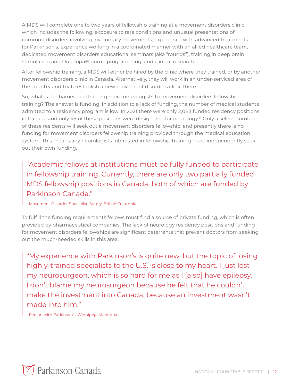A MDS will complete one to two years of fellowship training at a movement disorders clinic, which includes the following: exposure to rare conditions and unusual presentations of common disorders involving involuntary movements, experience with advanced treatments for Parkinson's, experience working in a coordinated manner with an allied healthcare team, dedicated movement disorders educational seminars (aka "rounds"), training in deep brain stimulation and Duodopa® pump programming, and clinical research.

After fellowship training, a MDS will either be hired by the clinic where they trained, or by another movement disorders clinic in Canada. Alternatively, they will work in an under-serviced area of the country and try to establish a new movement disorders clinic there.

So, what is the barrier to attracting more neurologists to movement disorders fellowship training? The answer is funding. In addition to a lack of funding, the number of medical students admitted to a residency program is low. In 2021 there were only 2,083 funded residency positions in Canada and only 49 of these positions were designated for neurology.<sup>ix</sup> Only a select number of these residents will seek out a movement disorders fellowship, and presently there is no funding for movement disorders fellowship training provided through the medical education system. This means any neurologists interested in fellowship training must independently seek out their own funding.

"Academic fellows at institutions must be fully funded to participate in fellowship training. Currently, there are only two partially funded MDS fellowship positions in Canada, both of which are funded by Parkinson Canada."

- Movement Disorder Specialist, Surrey, British Columbia

To fulfill the funding requirements fellows must find a source of private funding, which is often provided by pharmaceutical companies. The lack of neurology residency positions and funding for movement disorders fellowships are significant deterrents that prevent doctors from seeking out the much-needed skills in this area.

"My experience with Parkinson's is quite new, but the topic of losing highly-trained specialists to the U.S. is close to my heart. I just lost my neurosurgeon, which is so hard for me as I [also] have epilepsy. I don't blame my neurosurgeon because he felt that he couldn't make the investment into Canada, because an investment wasn't made into him."

- Person with Parkinson's, Winnipeg, Manitoba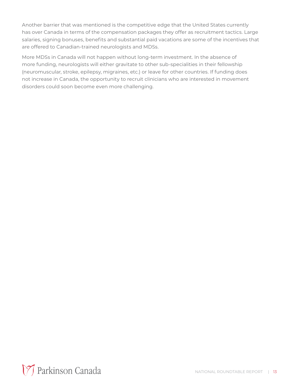Another barrier that was mentioned is the competitive edge that the United States currently has over Canada in terms of the compensation packages they offer as recruitment tactics. Large salaries, signing bonuses, benefits and substantial paid vacations are some of the incentives that are offered to Canadian-trained neurologists and MDSs.

More MDSs in Canada will not happen without long-term investment. In the absence of more funding, neurologists will either gravitate to other sub-specialities in their fellowship (neuromuscular, stroke, epilepsy, migraines, etc.) or leave for other countries. If funding does not increase in Canada, the opportunity to recruit clinicians who are interested in movement disorders could soon become even more challenging.

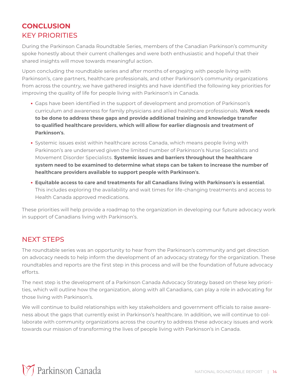#### **CONCLUSION** KEY PRIORITIES

During the Parkinson Canada Roundtable Series, members of the Canadian Parkinson's community spoke honestly about their current challenges and were both enthusiastic and hopeful that their shared insights will move towards meaningful action.

Upon concluding the roundtable series and after months of engaging with people living with Parkinson's, care partners, healthcare professionals, and other Parkinson's community organizations from across the country, we have gathered insights and have identified the following key priorities for improving the quality of life for people living with Parkinson's in Canada.

- **•** Gaps have been identified in the support of development and promotion of Parkinson's curriculum and awareness for family physicians and allied healthcare professionals. **Work needs to be done to address these gaps and provide additional training and knowledge transfer to qualified healthcare providers, which will allow for earlier diagnosis and treatment of Parkinson's.**
- **•** Systemic issues exist within healthcare across Canada, which means people living with Parkinson's are underserved given the limited number of Parkinson's Nurse Specialists and Movement Disorder Specialists. **Systemic issues and barriers throughout the healthcare system need to be examined to determine what steps can be taken to increase the number of healthcare providers available to support people with Parkinson's.**
- **• Equitable access to care and treatments for all Canadians living with Parkinson's is essential.** This includes exploring the availability and wait times for life-changing treatments and access to Health Canada approved medications.

These priorities will help provide a roadmap to the organization in developing our future advocacy work in support of Canadians living with Parkinson's.

#### NEXT STEPS

The roundtable series was an opportunity to hear from the Parkinson's community and get direction on advocacy needs to help inform the development of an advocacy strategy for the organization. These roundtables and reports are the first step in this process and will be the foundation of future advocacy efforts.

The next step is the development of a Parkinson Canada Advocacy Strategy based on these key priorities, which will outline how the organization, along with all Canadians, can play a role in advocating for those living with Parkinson's.

We will continue to build relationships with key stakeholders and government officials to raise awareness about the gaps that currently exist in Parkinson's healthcare. In addition, we will continue to collaborate with community organizations across the country to address these advocacy issues and work towards our mission of transforming the lives of people living with Parkinson's in Canada.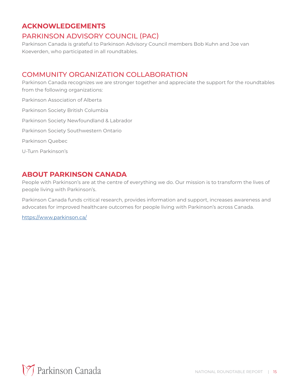#### **ACKNOWLEDGEMENTS**

#### PARKINSON ADVISORY COUNCIL (PAC)

Parkinson Canada is grateful to Parkinson Advisory Council members Bob Kuhn and Joe van Koeverden, who participated in all roundtables.

#### COMMUNITY ORGANIZATION COLLABORATION

Parkinson Canada recognizes we are stronger together and appreciate the support for the roundtables from the following organizations:

Parkinson Association of Alberta Parkinson Society British Columbia Parkinson Society Newfoundland & Labrador Parkinson Society Southwestern Ontario Parkinson Quebec U-Turn Parkinson's

#### **ABOUT PARKINSON CANADA**

People with Parkinson's are at the centre of everything we do. Our mission is to transform the lives of people living with Parkinson's.

Parkinson Canada funds critical research, provides information and support, increases awareness and advocates for improved healthcare outcomes for people living with Parkinson's across Canada.

[https://www.parkinson.ca/](https://www.parkinson.ca)

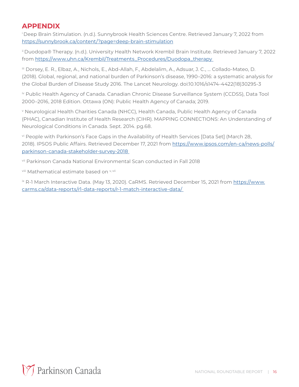#### **APPENDIX**

i Deep Brain Stimulation. (n.d.). Sunnybrook Health Sciences Centre. Retrieved January 7, 2022 from <https://sunnybrook.ca/content/?page=deep-brain-stimulation>

ii Duodopa® Therapy. (n.d.). University Health Network Krembil Brain Institute. Retrieved January 7, 2022 from [https://www.uhn.ca/Krembil/Treatments\\_Procedures/Duodopa\\_therapy](https://www.uhn.ca/Krembil/Treatments_Procedures/Duodopa_therapy) 

iii Dorsey, E. R., Elbaz, A., Nichols, E., Abd-Allah, F., Abdelalim, A., Adsuar, J. C., … Collado-Mateo, D. (2018). Global, regional, and national burden of Parkinson's disease, 1990–2016: a systematic analysis for the Global Burden of Disease Study 2016. The Lancet Neurology. doi:10.1016/s1474-4422(18)30295-3

iv Public Health Agency of Canada. Canadian Chronic Disease Surveillance System (CCDSS), Data Tool 2000–2016, 2018 Edition. Ottawa (ON): Public Health Agency of Canada; 2019.

v Neurological Health Charities Canada (NHCC), Health Canada, Public Health Agency of Canada (PHAC), Canadian Institute of Health Research (CIHR). MAPPING CONNECTIONS: An Understanding of Neurological Conditions in Canada. Sept. 2014. pg.68.

vi People with Parkinson's Face Gaps in the Availability of Health Services [Data Set] (March 28, 2018). IPSOS Public Affairs. Retrieved December 17, 2021 from [https://www.ipsos.com/en-ca/news-polls/](https://www.ipsos.com/en-ca/news-polls/parkinson-canada-stakeholder-survey-2018) [parkinson-canada-stakeholder-survey-2018](https://www.ipsos.com/en-ca/news-polls/parkinson-canada-stakeholder-survey-2018) 

vii Parkinson Canada National Environmental Scan conducted in Fall 2018

viii Mathematical estimate based on v, vii

ix R-1 March Interactive Data. (May 13, 2020). CaRMS. Retrieved December 15, 2021 from [https://www.](https://www.carms.ca/data-reports/r1-data-reports/r-1-match-interactive-data/) [carms.ca/data-reports/r1-data-reports/r-1-match-interactive-data/](https://www.carms.ca/data-reports/r1-data-reports/r-1-match-interactive-data/)